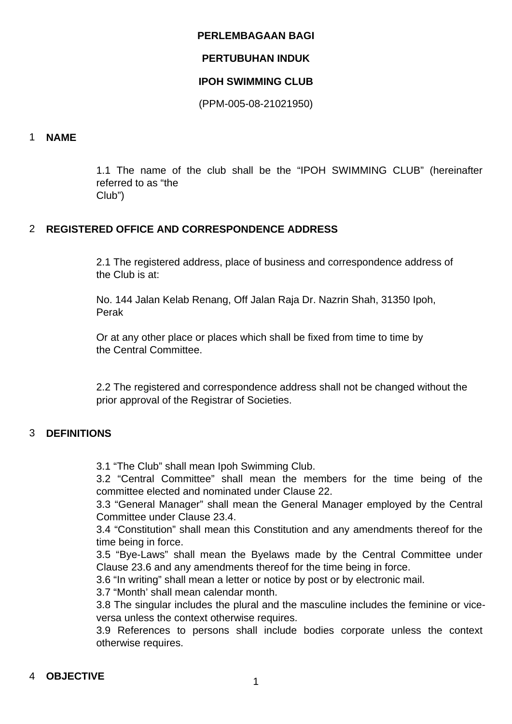#### **PERLEMBAGAAN BAGI**

# **PERTUBUHAN INDUK**

## **IPOH SWIMMING CLUB**

(PPM-005-08-21021950)

# 1 **NAME**

1.1 The name of the club shall be the "IPOH SWIMMING CLUB" (hereinafter referred to as "the Club")

# 2 **REGISTERED OFFICE AND CORRESPONDENCE ADDRESS**

2.1 The registered address, place of business and correspondence address of the Club is at:

No. 144 Jalan Kelab Renang, Off Jalan Raja Dr. Nazrin Shah, 31350 Ipoh, Perak

Or at any other place or places which shall be fixed from time to time by the Central Committee.

2.2 The registered and correspondence address shall not be changed without the prior approval of the Registrar of Societies.

# 3 **DEFINITIONS**

3.1 "The Club" shall mean Ipoh Swimming Club.

3.2 "Central Committee" shall mean the members for the time being of the committee elected and nominated under Clause 22.

3.3 "General Manager" shall mean the General Manager employed by the Central Committee under Clause 23.4.

3.4 "Constitution" shall mean this Constitution and any amendments thereof for the time being in force.

3.5 "Bye-Laws" shall mean the Byelaws made by the Central Committee under Clause 23.6 and any amendments thereof for the time being in force.

3.6 "In writing" shall mean a letter or notice by post or by electronic mail.

3.7 "Month' shall mean calendar month.

3.8 The singular includes the plural and the masculine includes the feminine or viceversa unless the context otherwise requires.

3.9 References to persons shall include bodies corporate unless the context otherwise requires.

# <sup>4</sup> **OBJECTIVE** <sup>1</sup>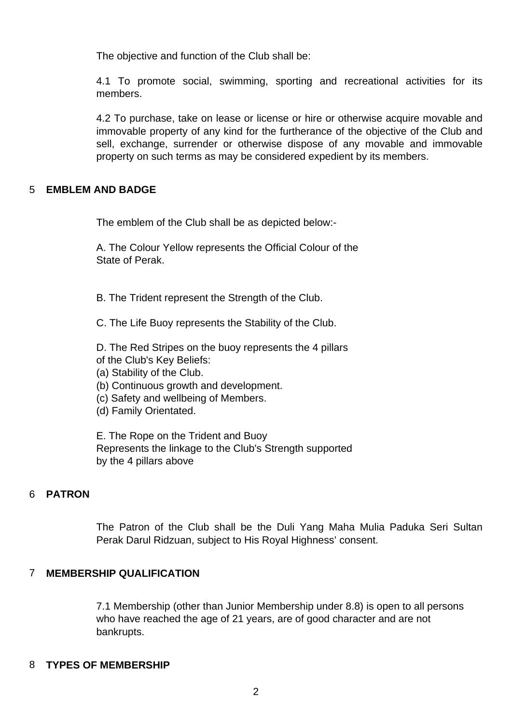The objective and function of the Club shall be:

4.1 To promote social, swimming, sporting and recreational activities for its members.

4.2 To purchase, take on lease or license or hire or otherwise acquire movable and immovable property of any kind for the furtherance of the objective of the Club and sell, exchange, surrender or otherwise dispose of any movable and immovable property on such terms as may be considered expedient by its members.

#### 5 **EMBLEM AND BADGE**

The emblem of the Club shall be as depicted below:-

A. The Colour Yellow represents the Official Colour of the State of Perak.

B. The Trident represent the Strength of the Club.

C. The Life Buoy represents the Stability of the Club.

D. The Red Stripes on the buoy represents the 4 pillars of the Club's Key Beliefs:

- (a) Stability of the Club.
- (b) Continuous growth and development.
- (c) Safety and wellbeing of Members.
- (d) Family Orientated.

E. The Rope on the Trident and Buoy Represents the linkage to the Club's Strength supported by the 4 pillars above

# 6 **PATRON**

The Patron of the Club shall be the Duli Yang Maha Mulia Paduka Seri Sultan Perak Darul Ridzuan, subject to His Royal Highness' consent.

# 7 **MEMBERSHIP QUALIFICATION**

7.1 Membership (other than Junior Membership under 8.8) is open to all persons who have reached the age of 21 years, are of good character and are not bankrupts.

#### 8 **TYPES OF MEMBERSHIP**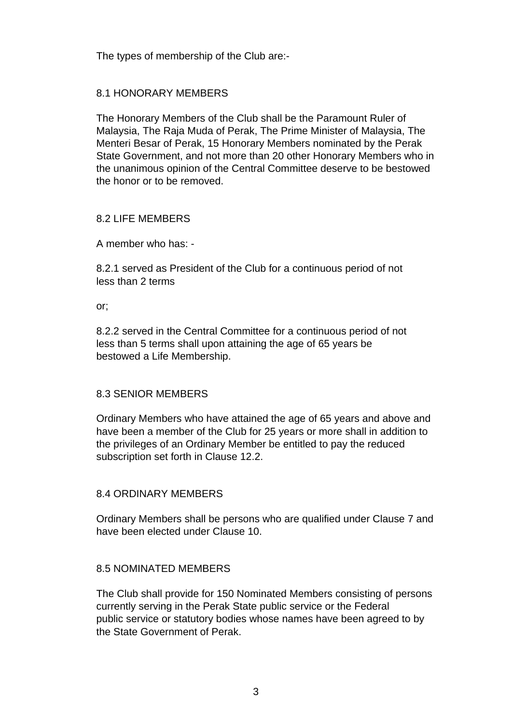The types of membership of the Club are:-

# 8.1 HONORARY MEMBERS

The Honorary Members of the Club shall be the Paramount Ruler of Malaysia, The Raja Muda of Perak, The Prime Minister of Malaysia, The Menteri Besar of Perak, 15 Honorary Members nominated by the Perak State Government, and not more than 20 other Honorary Members who in the unanimous opinion of the Central Committee deserve to be bestowed the honor or to be removed.

# 8.2 LIFE MEMBERS

A member who has: -

8.2.1 served as President of the Club for a continuous period of not less than 2 terms

or;

8.2.2 served in the Central Committee for a continuous period of not less than 5 terms shall upon attaining the age of 65 years be bestowed a Life Membership.

#### 8.3 SENIOR MEMBERS

Ordinary Members who have attained the age of 65 years and above and have been a member of the Club for 25 years or more shall in addition to the privileges of an Ordinary Member be entitled to pay the reduced subscription set forth in Clause 12.2.

#### 8.4 ORDINARY MEMBERS

Ordinary Members shall be persons who are qualified under Clause 7 and have been elected under Clause 10.

#### 8.5 NOMINATED MEMBERS

The Club shall provide for 150 Nominated Members consisting of persons currently serving in the Perak State public service or the Federal public service or statutory bodies whose names have been agreed to by the State Government of Perak.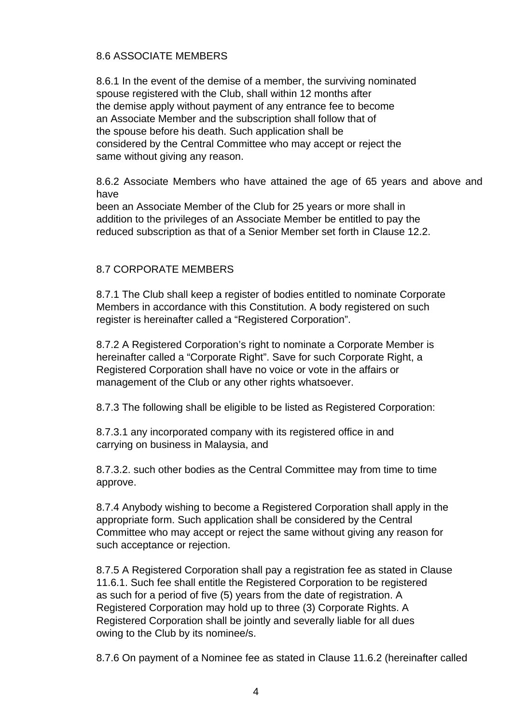# 8.6 ASSOCIATE MEMBERS

8.6.1 In the event of the demise of a member, the surviving nominated spouse registered with the Club, shall within 12 months after the demise apply without payment of any entrance fee to become an Associate Member and the subscription shall follow that of the spouse before his death. Such application shall be considered by the Central Committee who may accept or reject the same without giving any reason.

8.6.2 Associate Members who have attained the age of 65 years and above and have

been an Associate Member of the Club for 25 years or more shall in addition to the privileges of an Associate Member be entitled to pay the reduced subscription as that of a Senior Member set forth in Clause 12.2.

# 8.7 CORPORATE MEMBERS

8.7.1 The Club shall keep a register of bodies entitled to nominate Corporate Members in accordance with this Constitution. A body registered on such register is hereinafter called a "Registered Corporation".

8.7.2 A Registered Corporation's right to nominate a Corporate Member is hereinafter called a "Corporate Right". Save for such Corporate Right, a Registered Corporation shall have no voice or vote in the affairs or management of the Club or any other rights whatsoever.

8.7.3 The following shall be eligible to be listed as Registered Corporation:

8.7.3.1 any incorporated company with its registered office in and carrying on business in Malaysia, and

8.7.3.2. such other bodies as the Central Committee may from time to time approve.

8.7.4 Anybody wishing to become a Registered Corporation shall apply in the appropriate form. Such application shall be considered by the Central Committee who may accept or reject the same without giving any reason for such acceptance or rejection.

8.7.5 A Registered Corporation shall pay a registration fee as stated in Clause 11.6.1. Such fee shall entitle the Registered Corporation to be registered as such for a period of five (5) years from the date of registration. A Registered Corporation may hold up to three (3) Corporate Rights. A Registered Corporation shall be jointly and severally liable for all dues owing to the Club by its nominee/s.

8.7.6 On payment of a Nominee fee as stated in Clause 11.6.2 (hereinafter called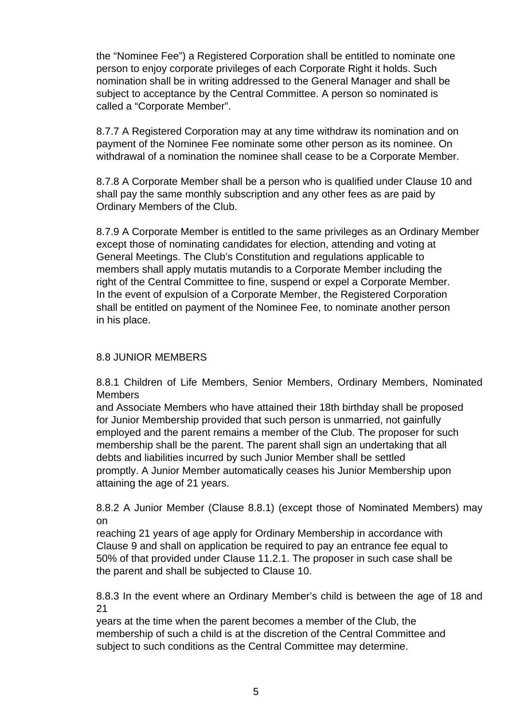the "Nominee Fee") a Registered Corporation shall be entitled to nominate one person to enjoy corporate privileges of each Corporate Right it holds. Such nomination shall be in writing addressed to the General Manager and shall be subject to acceptance by the Central Committee. A person so nominated is called a "Corporate Member".

8.7.7 A Registered Corporation may at any time withdraw its nomination and on payment of the Nominee Fee nominate some other person as its nominee. On withdrawal of a nomination the nominee shall cease to be a Corporate Member.

8.7.8 A Corporate Member shall be a person who is qualified under Clause 10 and shall pay the same monthly subscription and any other fees as are paid by Ordinary Members of the Club.

8.7.9 A Corporate Member is entitled to the same privileges as an Ordinary Member except those of nominating candidates for election, attending and voting at General Meetings. The Club's Constitution and regulations applicable to members shall apply mutatis mutandis to a Corporate Member including the right of the Central Committee to fine, suspend or expel a Corporate Member. In the event of expulsion of a Corporate Member, the Registered Corporation shall be entitled on payment of the Nominee Fee, to nominate another person in his place.

# 8.8 JUNIOR MEMBERS

8.8.1 Children of Life Members, Senior Members, Ordinary Members, Nominated Members

and Associate Members who have attained their 18th birthday shall be proposed for Junior Membership provided that such person is unmarried, not gainfully employed and the parent remains a member of the Club. The proposer for such membership shall be the parent. The parent shall sign an undertaking that all debts and liabilities incurred by such Junior Member shall be settled promptly. A Junior Member automatically ceases his Junior Membership upon attaining the age of 21 years.

8.8.2 A Junior Member (Clause 8.8.1) (except those of Nominated Members) may on

reaching 21 years of age apply for Ordinary Membership in accordance with Clause 9 and shall on application be required to pay an entrance fee equal to 50% of that provided under Clause 11.2.1. The proposer in such case shall be the parent and shall be subjected to Clause 10.

8.8.3 In the event where an Ordinary Member's child is between the age of 18 and 21

years at the time when the parent becomes a member of the Club, the membership of such a child is at the discretion of the Central Committee and subject to such conditions as the Central Committee may determine.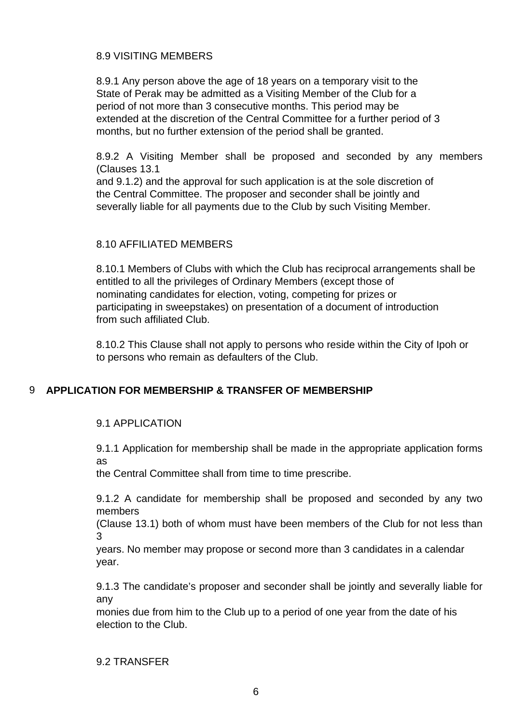# 8.9 VISITING MEMBERS

8.9.1 Any person above the age of 18 years on a temporary visit to the State of Perak may be admitted as a Visiting Member of the Club for a period of not more than 3 consecutive months. This period may be extended at the discretion of the Central Committee for a further period of 3 months, but no further extension of the period shall be granted.

8.9.2 A Visiting Member shall be proposed and seconded by any members (Clauses 13.1

and 9.1.2) and the approval for such application is at the sole discretion of the Central Committee. The proposer and seconder shall be jointly and severally liable for all payments due to the Club by such Visiting Member.

# 8.10 AFFILIATED MEMBERS

8.10.1 Members of Clubs with which the Club has reciprocal arrangements shall be entitled to all the privileges of Ordinary Members (except those of nominating candidates for election, voting, competing for prizes or participating in sweepstakes) on presentation of a document of introduction from such affiliated Club.

8.10.2 This Clause shall not apply to persons who reside within the City of Ipoh or to persons who remain as defaulters of the Club.

# 9 **APPLICATION FOR MEMBERSHIP & TRANSFER OF MEMBERSHIP**

#### 9.1 APPLICATION

9.1.1 Application for membership shall be made in the appropriate application forms as

the Central Committee shall from time to time prescribe.

9.1.2 A candidate for membership shall be proposed and seconded by any two members

(Clause 13.1) both of whom must have been members of the Club for not less than 3

years. No member may propose or second more than 3 candidates in a calendar year.

9.1.3 The candidate's proposer and seconder shall be jointly and severally liable for any

monies due from him to the Club up to a period of one year from the date of his election to the Club.

#### 9.2 TRANSFER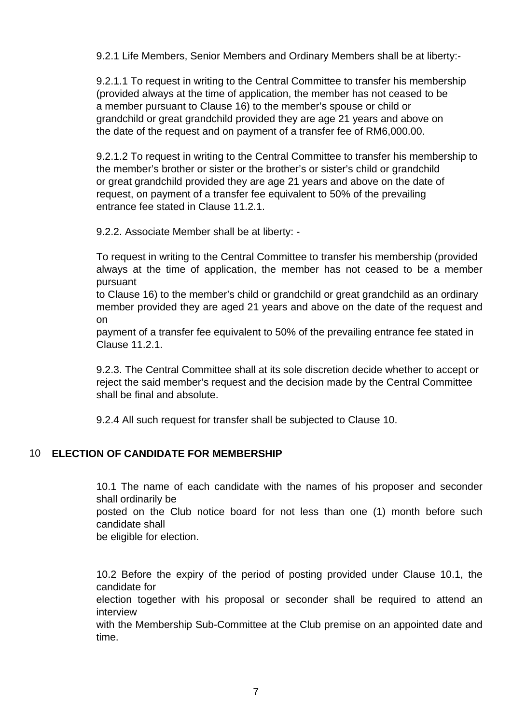9.2.1 Life Members, Senior Members and Ordinary Members shall be at liberty:-

9.2.1.1 To request in writing to the Central Committee to transfer his membership (provided always at the time of application, the member has not ceased to be a member pursuant to Clause 16) to the member's spouse or child or grandchild or great grandchild provided they are age 21 years and above on the date of the request and on payment of a transfer fee of RM6,000.00.

9.2.1.2 To request in writing to the Central Committee to transfer his membership to the member's brother or sister or the brother's or sister's child or grandchild or great grandchild provided they are age 21 years and above on the date of request, on payment of a transfer fee equivalent to 50% of the prevailing entrance fee stated in Clause 11.2.1.

9.2.2. Associate Member shall be at liberty: -

To request in writing to the Central Committee to transfer his membership (provided always at the time of application, the member has not ceased to be a member pursuant

to Clause 16) to the member's child or grandchild or great grandchild as an ordinary member provided they are aged 21 years and above on the date of the request and on

payment of a transfer fee equivalent to 50% of the prevailing entrance fee stated in Clause 11.2.1.

9.2.3. The Central Committee shall at its sole discretion decide whether to accept or reject the said member's request and the decision made by the Central Committee shall be final and absolute.

9.2.4 All such request for transfer shall be subjected to Clause 10.

# 10 **ELECTION OF CANDIDATE FOR MEMBERSHIP**

10.1 The name of each candidate with the names of his proposer and seconder shall ordinarily be posted on the Club notice board for not less than one (1) month before such candidate shall be eligible for election.

10.2 Before the expiry of the period of posting provided under Clause 10.1, the candidate for

election together with his proposal or seconder shall be required to attend an interview

with the Membership Sub-Committee at the Club premise on an appointed date and time.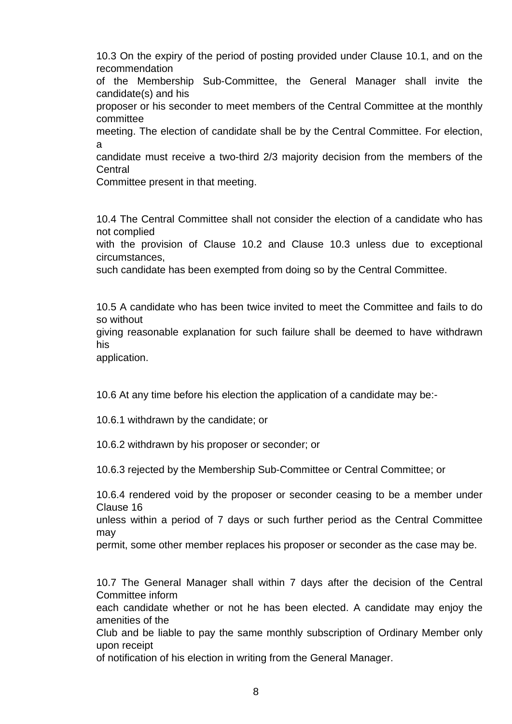10.3 On the expiry of the period of posting provided under Clause 10.1, and on the recommendation

of the Membership Sub-Committee, the General Manager shall invite the candidate(s) and his

proposer or his seconder to meet members of the Central Committee at the monthly committee

meeting. The election of candidate shall be by the Central Committee. For election, a

candidate must receive a two-third 2/3 majority decision from the members of the **Central** 

Committee present in that meeting.

10.4 The Central Committee shall not consider the election of a candidate who has not complied

with the provision of Clause 10.2 and Clause 10.3 unless due to exceptional circumstances,

such candidate has been exempted from doing so by the Central Committee.

10.5 A candidate who has been twice invited to meet the Committee and fails to do so without

giving reasonable explanation for such failure shall be deemed to have withdrawn his

application.

10.6 At any time before his election the application of a candidate may be:-

10.6.1 withdrawn by the candidate; or

10.6.2 withdrawn by his proposer or seconder; or

10.6.3 rejected by the Membership Sub-Committee or Central Committee; or

10.6.4 rendered void by the proposer or seconder ceasing to be a member under Clause 16

unless within a period of 7 days or such further period as the Central Committee may

permit, some other member replaces his proposer or seconder as the case may be.

10.7 The General Manager shall within 7 days after the decision of the Central Committee inform

each candidate whether or not he has been elected. A candidate may enjoy the amenities of the

Club and be liable to pay the same monthly subscription of Ordinary Member only upon receipt

of notification of his election in writing from the General Manager.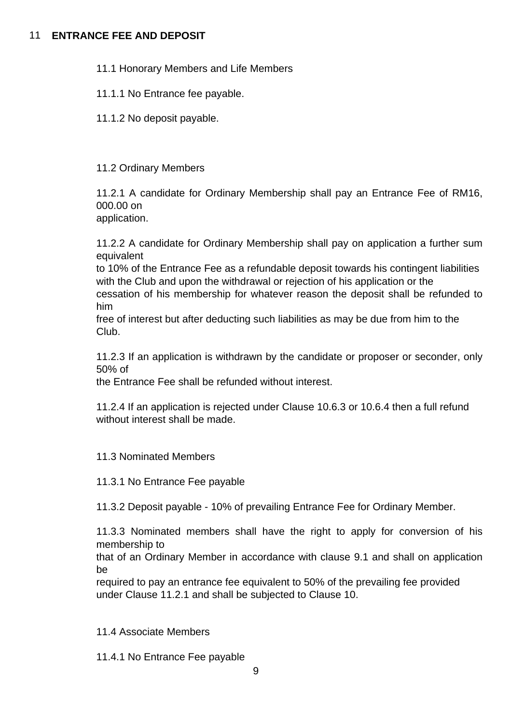# 11 **ENTRANCE FEE AND DEPOSIT**

- 11.1 Honorary Members and Life Members
- 11.1.1 No Entrance fee payable.
- 11.1.2 No deposit payable.

# 11.2 Ordinary Members

11.2.1 A candidate for Ordinary Membership shall pay an Entrance Fee of RM16, 000.00 on

application.

11.2.2 A candidate for Ordinary Membership shall pay on application a further sum equivalent

to 10% of the Entrance Fee as a refundable deposit towards his contingent liabilities with the Club and upon the withdrawal or rejection of his application or the

cessation of his membership for whatever reason the deposit shall be refunded to him

free of interest but after deducting such liabilities as may be due from him to the Club.

11.2.3 If an application is withdrawn by the candidate or proposer or seconder, only 50% of

the Entrance Fee shall be refunded without interest.

11.2.4 If an application is rejected under Clause 10.6.3 or 10.6.4 then a full refund without interest shall be made.

#### 11.3 Nominated Members

11.3.1 No Entrance Fee payable

11.3.2 Deposit payable - 10% of prevailing Entrance Fee for Ordinary Member.

11.3.3 Nominated members shall have the right to apply for conversion of his membership to

that of an Ordinary Member in accordance with clause 9.1 and shall on application be

required to pay an entrance fee equivalent to 50% of the prevailing fee provided under Clause 11.2.1 and shall be subjected to Clause 10.

11.4 Associate Members

11.4.1 No Entrance Fee payable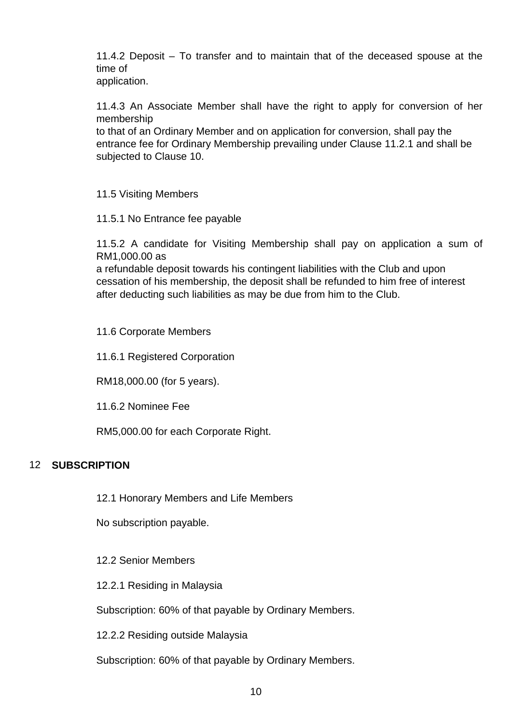11.4.2 Deposit – To transfer and to maintain that of the deceased spouse at the time of

application.

11.4.3 An Associate Member shall have the right to apply for conversion of her membership

to that of an Ordinary Member and on application for conversion, shall pay the entrance fee for Ordinary Membership prevailing under Clause 11.2.1 and shall be subjected to Clause 10.

11.5 Visiting Members

11.5.1 No Entrance fee payable

11.5.2 A candidate for Visiting Membership shall pay on application a sum of RM1,000.00 as

a refundable deposit towards his contingent liabilities with the Club and upon cessation of his membership, the deposit shall be refunded to him free of interest after deducting such liabilities as may be due from him to the Club.

11.6 Corporate Members

11.6.1 Registered Corporation

RM18,000.00 (for 5 years).

11.6.2 Nominee Fee

RM5,000.00 for each Corporate Right.

# 12 **SUBSCRIPTION**

12.1 Honorary Members and Life Members

No subscription payable.

12.2 Senior Members

12.2.1 Residing in Malaysia

Subscription: 60% of that payable by Ordinary Members.

12.2.2 Residing outside Malaysia

Subscription: 60% of that payable by Ordinary Members.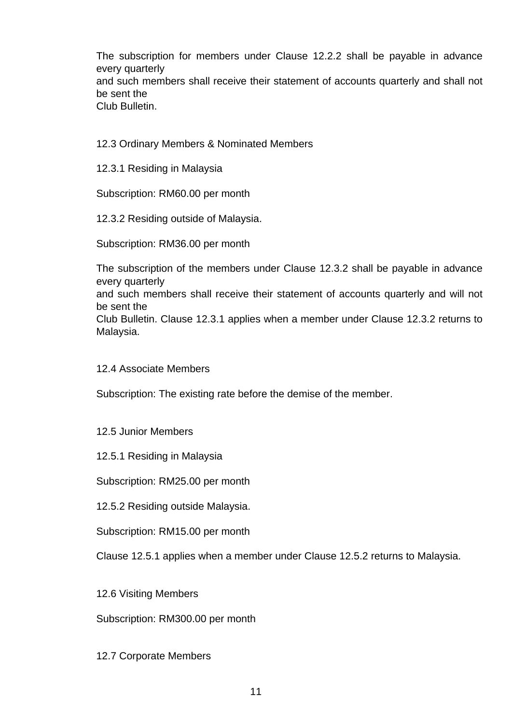The subscription for members under Clause 12.2.2 shall be payable in advance every quarterly and such members shall receive their statement of accounts quarterly and shall not be sent the Club Bulletin.

12.3 Ordinary Members & Nominated Members

12.3.1 Residing in Malaysia

Subscription: RM60.00 per month

12.3.2 Residing outside of Malaysia.

Subscription: RM36.00 per month

The subscription of the members under Clause 12.3.2 shall be payable in advance every quarterly

and such members shall receive their statement of accounts quarterly and will not be sent the

Club Bulletin. Clause 12.3.1 applies when a member under Clause 12.3.2 returns to Malaysia.

12.4 Associate Members

Subscription: The existing rate before the demise of the member.

#### 12.5 Junior Members

12.5.1 Residing in Malaysia

Subscription: RM25.00 per month

12.5.2 Residing outside Malaysia.

Subscription: RM15.00 per month

Clause 12.5.1 applies when a member under Clause 12.5.2 returns to Malaysia.

12.6 Visiting Members

Subscription: RM300.00 per month

12.7 Corporate Members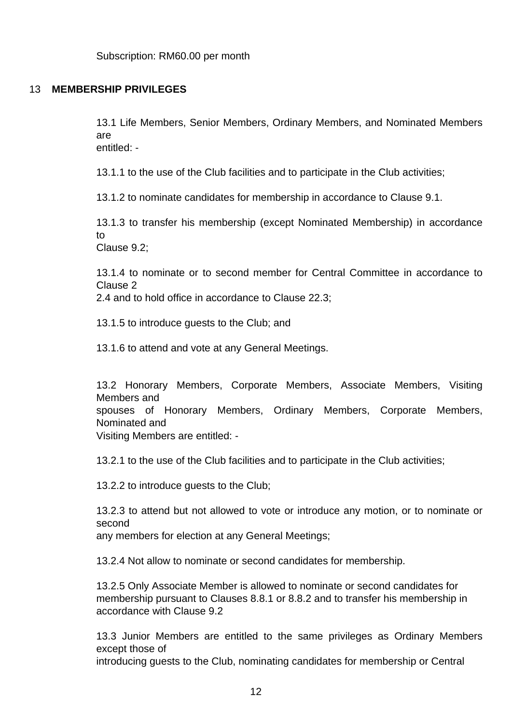#### 13 **MEMBERSHIP PRIVILEGES**

13.1 Life Members, Senior Members, Ordinary Members, and Nominated Members are entitled: -

13.1.1 to the use of the Club facilities and to participate in the Club activities;

13.1.2 to nominate candidates for membership in accordance to Clause 9.1.

13.1.3 to transfer his membership (except Nominated Membership) in accordance to

Clause 9.2;

13.1.4 to nominate or to second member for Central Committee in accordance to Clause 2

2.4 and to hold office in accordance to Clause 22.3;

13.1.5 to introduce guests to the Club; and

13.1.6 to attend and vote at any General Meetings.

13.2 Honorary Members, Corporate Members, Associate Members, Visiting Members and

spouses of Honorary Members, Ordinary Members, Corporate Members, Nominated and

Visiting Members are entitled: -

13.2.1 to the use of the Club facilities and to participate in the Club activities;

13.2.2 to introduce guests to the Club;

13.2.3 to attend but not allowed to vote or introduce any motion, or to nominate or second

any members for election at any General Meetings;

13.2.4 Not allow to nominate or second candidates for membership.

13.2.5 Only Associate Member is allowed to nominate or second candidates for membership pursuant to Clauses 8.8.1 or 8.8.2 and to transfer his membership in accordance with Clause 9.2

13.3 Junior Members are entitled to the same privileges as Ordinary Members except those of

introducing guests to the Club, nominating candidates for membership or Central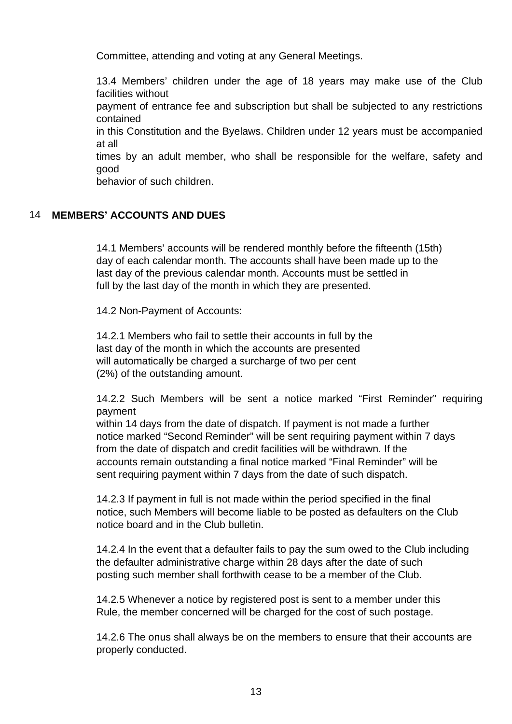Committee, attending and voting at any General Meetings.

13.4 Members' children under the age of 18 years may make use of the Club facilities without

payment of entrance fee and subscription but shall be subjected to any restrictions contained

in this Constitution and the Byelaws. Children under 12 years must be accompanied at all

times by an adult member, who shall be responsible for the welfare, safety and good

behavior of such children.

# 14 **MEMBERS' ACCOUNTS AND DUES**

14.1 Members' accounts will be rendered monthly before the fifteenth (15th) day of each calendar month. The accounts shall have been made up to the last day of the previous calendar month. Accounts must be settled in full by the last day of the month in which they are presented.

14.2 Non-Payment of Accounts:

14.2.1 Members who fail to settle their accounts in full by the last day of the month in which the accounts are presented will automatically be charged a surcharge of two per cent (2%) of the outstanding amount.

14.2.2 Such Members will be sent a notice marked "First Reminder" requiring payment

within 14 days from the date of dispatch. If payment is not made a further notice marked "Second Reminder" will be sent requiring payment within 7 days from the date of dispatch and credit facilities will be withdrawn. If the accounts remain outstanding a final notice marked "Final Reminder" will be sent requiring payment within 7 days from the date of such dispatch.

14.2.3 If payment in full is not made within the period specified in the final notice, such Members will become liable to be posted as defaulters on the Club notice board and in the Club bulletin.

14.2.4 In the event that a defaulter fails to pay the sum owed to the Club including the defaulter administrative charge within 28 days after the date of such posting such member shall forthwith cease to be a member of the Club.

14.2.5 Whenever a notice by registered post is sent to a member under this Rule, the member concerned will be charged for the cost of such postage.

14.2.6 The onus shall always be on the members to ensure that their accounts are properly conducted.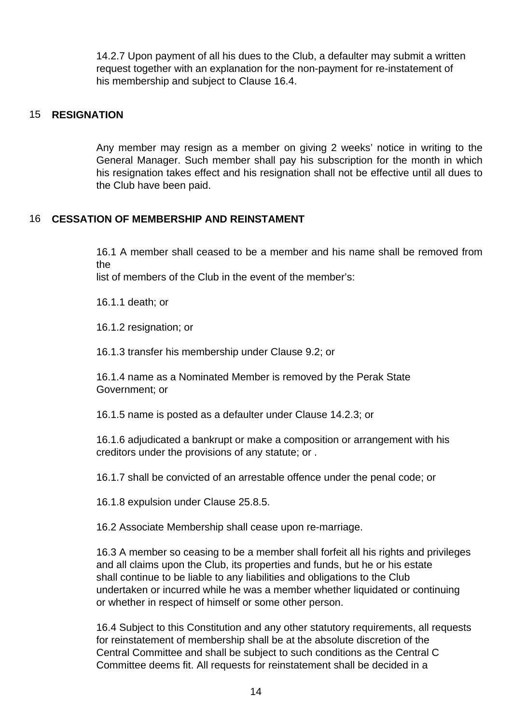14.2.7 Upon payment of all his dues to the Club, a defaulter may submit a written request together with an explanation for the non-payment for re-instatement of his membership and subject to Clause 16.4.

#### 15 **RESIGNATION**

Any member may resign as a member on giving 2 weeks' notice in writing to the General Manager. Such member shall pay his subscription for the month in which his resignation takes effect and his resignation shall not be effective until all dues to the Club have been paid.

# 16 **CESSATION OF MEMBERSHIP AND REINSTAMENT**

16.1 A member shall ceased to be a member and his name shall be removed from the

list of members of the Club in the event of the member's:

16.1.1 death; or

16.1.2 resignation; or

16.1.3 transfer his membership under Clause 9.2; or

16.1.4 name as a Nominated Member is removed by the Perak State Government; or

16.1.5 name is posted as a defaulter under Clause 14.2.3; or

16.1.6 adjudicated a bankrupt or make a composition or arrangement with his creditors under the provisions of any statute; or .

16.1.7 shall be convicted of an arrestable offence under the penal code; or

16.1.8 expulsion under Clause 25.8.5.

16.2 Associate Membership shall cease upon re-marriage.

16.3 A member so ceasing to be a member shall forfeit all his rights and privileges and all claims upon the Club, its properties and funds, but he or his estate shall continue to be liable to any liabilities and obligations to the Club undertaken or incurred while he was a member whether liquidated or continuing or whether in respect of himself or some other person.

16.4 Subject to this Constitution and any other statutory requirements, all requests for reinstatement of membership shall be at the absolute discretion of the Central Committee and shall be subject to such conditions as the Central C Committee deems fit. All requests for reinstatement shall be decided in a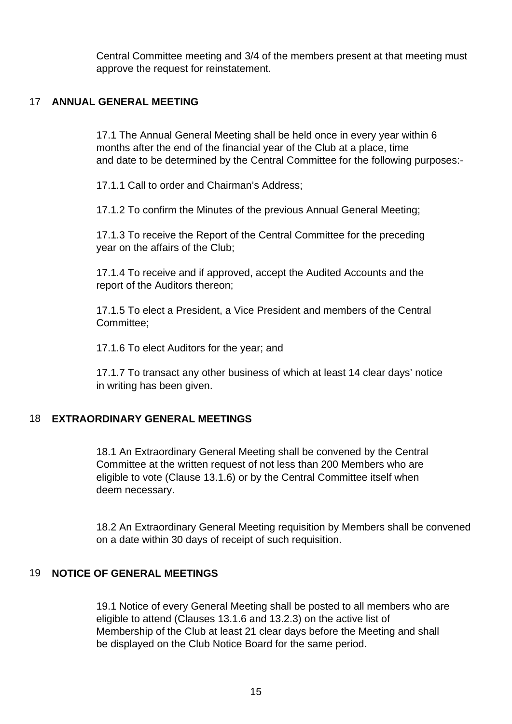Central Committee meeting and 3/4 of the members present at that meeting must approve the request for reinstatement.

# 17 **ANNUAL GENERAL MEETING**

17.1 The Annual General Meeting shall be held once in every year within 6 months after the end of the financial year of the Club at a place, time and date to be determined by the Central Committee for the following purposes:-

17.1.1 Call to order and Chairman's Address;

17.1.2 To confirm the Minutes of the previous Annual General Meeting;

17.1.3 To receive the Report of the Central Committee for the preceding year on the affairs of the Club;

17.1.4 To receive and if approved, accept the Audited Accounts and the report of the Auditors thereon;

17.1.5 To elect a President, a Vice President and members of the Central Committee;

17.1.6 To elect Auditors for the year; and

17.1.7 To transact any other business of which at least 14 clear days' notice in writing has been given.

# 18 **EXTRAORDINARY GENERAL MEETINGS**

18.1 An Extraordinary General Meeting shall be convened by the Central Committee at the written request of not less than 200 Members who are eligible to vote (Clause 13.1.6) or by the Central Committee itself when deem necessary.

18.2 An Extraordinary General Meeting requisition by Members shall be convened on a date within 30 days of receipt of such requisition.

#### 19 **NOTICE OF GENERAL MEETINGS**

19.1 Notice of every General Meeting shall be posted to all members who are eligible to attend (Clauses 13.1.6 and 13.2.3) on the active list of Membership of the Club at least 21 clear days before the Meeting and shall be displayed on the Club Notice Board for the same period.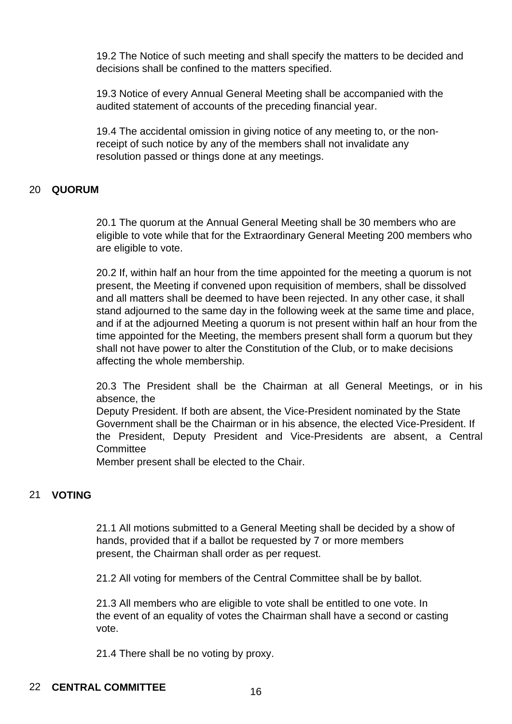19.2 The Notice of such meeting and shall specify the matters to be decided and decisions shall be confined to the matters specified.

19.3 Notice of every Annual General Meeting shall be accompanied with the audited statement of accounts of the preceding financial year.

19.4 The accidental omission in giving notice of any meeting to, or the nonreceipt of such notice by any of the members shall not invalidate any resolution passed or things done at any meetings.

#### 20 **QUORUM**

20.1 The quorum at the Annual General Meeting shall be 30 members who are eligible to vote while that for the Extraordinary General Meeting 200 members who are eligible to vote.

20.2 If, within half an hour from the time appointed for the meeting a quorum is not present, the Meeting if convened upon requisition of members, shall be dissolved and all matters shall be deemed to have been rejected. In any other case, it shall stand adjourned to the same day in the following week at the same time and place, and if at the adjourned Meeting a quorum is not present within half an hour from the time appointed for the Meeting, the members present shall form a quorum but they shall not have power to alter the Constitution of the Club, or to make decisions affecting the whole membership.

20.3 The President shall be the Chairman at all General Meetings, or in his absence, the

Deputy President. If both are absent, the Vice-President nominated by the State Government shall be the Chairman or in his absence, the elected Vice-President. If the President, Deputy President and Vice-Presidents are absent, a Central **Committee** 

Member present shall be elected to the Chair.

# 21 **VOTING**

21.1 All motions submitted to a General Meeting shall be decided by a show of hands, provided that if a ballot be requested by 7 or more members present, the Chairman shall order as per request.

21.2 All voting for members of the Central Committee shall be by ballot.

21.3 All members who are eligible to vote shall be entitled to one vote. In the event of an equality of votes the Chairman shall have a second or casting vote.

21.4 There shall be no voting by proxy.

# 22 **CENTRAL COMMITTEE** 16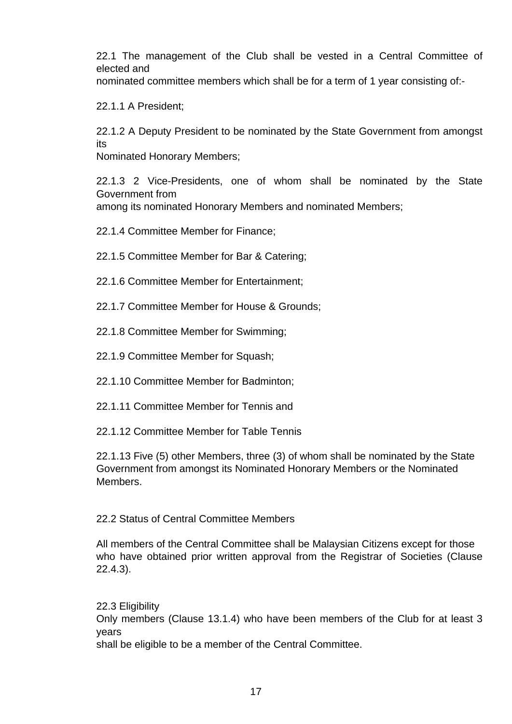22.1 The management of the Club shall be vested in a Central Committee of elected and

nominated committee members which shall be for a term of 1 year consisting of:-

22.1.1 A President;

22.1.2 A Deputy President to be nominated by the State Government from amongst its

Nominated Honorary Members;

22.1.3 2 Vice-Presidents, one of whom shall be nominated by the State Government from among its nominated Honorary Members and nominated Members;

22.1.4 Committee Member for Finance;

- 22.1.5 Committee Member for Bar & Catering;
- 22.1.6 Committee Member for Entertainment;
- 22.1.7 Committee Member for House & Grounds;
- 22.1.8 Committee Member for Swimming;
- 22.1.9 Committee Member for Squash;
- 22.1.10 Committee Member for Badminton;
- 22.1.11 Committee Member for Tennis and
- 22.1.12 Committee Member for Table Tennis

22.1.13 Five (5) other Members, three (3) of whom shall be nominated by the State Government from amongst its Nominated Honorary Members or the Nominated Members.

#### 22.2 Status of Central Committee Members

All members of the Central Committee shall be Malaysian Citizens except for those who have obtained prior written approval from the Registrar of Societies (Clause 22.4.3).

22.3 Eligibility Only members (Clause 13.1.4) who have been members of the Club for at least 3 years shall be eligible to be a member of the Central Committee.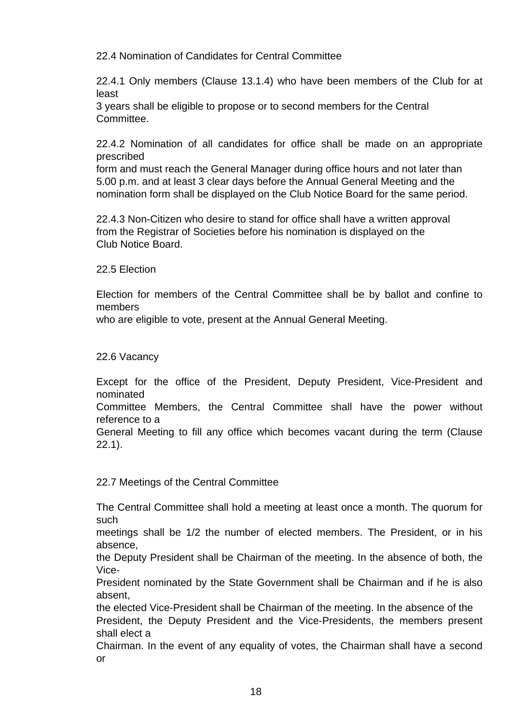22.4 Nomination of Candidates for Central Committee

22.4.1 Only members (Clause 13.1.4) who have been members of the Club for at least

3 years shall be eligible to propose or to second members for the Central Committee.

22.4.2 Nomination of all candidates for office shall be made on an appropriate prescribed

form and must reach the General Manager during office hours and not later than 5.00 p.m. and at least 3 clear days before the Annual General Meeting and the nomination form shall be displayed on the Club Notice Board for the same period.

22.4.3 Non-Citizen who desire to stand for office shall have a written approval from the Registrar of Societies before his nomination is displayed on the Club Notice Board.

22.5 Election

Election for members of the Central Committee shall be by ballot and confine to members

who are eligible to vote, present at the Annual General Meeting.

22.6 Vacancy

Except for the office of the President, Deputy President, Vice-President and nominated

Committee Members, the Central Committee shall have the power without reference to a

General Meeting to fill any office which becomes vacant during the term (Clause 22.1).

22.7 Meetings of the Central Committee

The Central Committee shall hold a meeting at least once a month. The quorum for such

meetings shall be 1/2 the number of elected members. The President, or in his absence,

the Deputy President shall be Chairman of the meeting. In the absence of both, the Vice-

President nominated by the State Government shall be Chairman and if he is also absent,

the elected Vice-President shall be Chairman of the meeting. In the absence of the President, the Deputy President and the Vice-Presidents, the members present shall elect a

Chairman. In the event of any equality of votes, the Chairman shall have a second or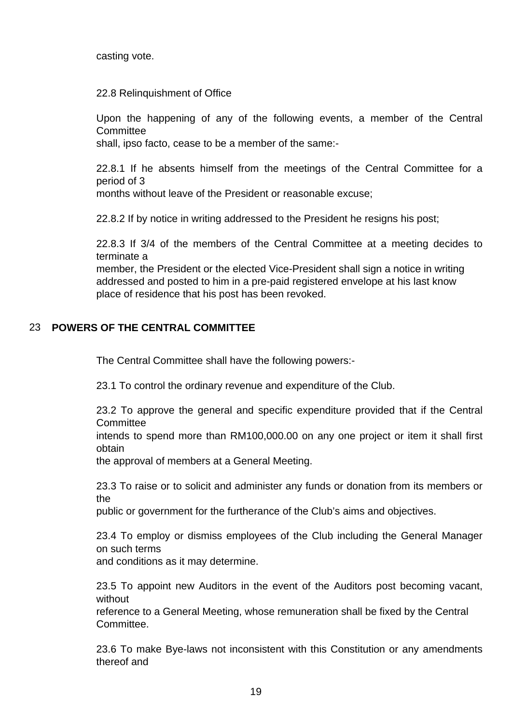casting vote.

#### 22.8 Relinquishment of Office

Upon the happening of any of the following events, a member of the Central **Committee** 

shall, ipso facto, cease to be a member of the same:-

22.8.1 If he absents himself from the meetings of the Central Committee for a period of 3

months without leave of the President or reasonable excuse;

22.8.2 If by notice in writing addressed to the President he resigns his post;

22.8.3 If 3/4 of the members of the Central Committee at a meeting decides to terminate a

member, the President or the elected Vice-President shall sign a notice in writing addressed and posted to him in a pre-paid registered envelope at his last know place of residence that his post has been revoked.

# 23 **POWERS OF THE CENTRAL COMMITTEE**

The Central Committee shall have the following powers:-

23.1 To control the ordinary revenue and expenditure of the Club.

23.2 To approve the general and specific expenditure provided that if the Central **Committee** 

intends to spend more than RM100,000.00 on any one project or item it shall first obtain

the approval of members at a General Meeting.

23.3 To raise or to solicit and administer any funds or donation from its members or the

public or government for the furtherance of the Club's aims and objectives.

23.4 To employ or dismiss employees of the Club including the General Manager on such terms

and conditions as it may determine.

23.5 To appoint new Auditors in the event of the Auditors post becoming vacant, without

reference to a General Meeting, whose remuneration shall be fixed by the Central Committee.

23.6 To make Bye-laws not inconsistent with this Constitution or any amendments thereof and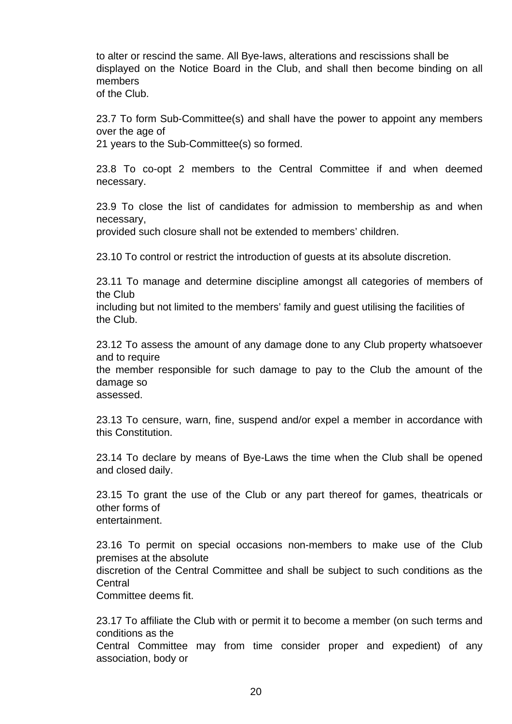to alter or rescind the same. All Bye-laws, alterations and rescissions shall be displayed on the Notice Board in the Club, and shall then become binding on all members

of the Club.

23.7 To form Sub-Committee(s) and shall have the power to appoint any members over the age of

21 years to the Sub-Committee(s) so formed.

23.8 To co-opt 2 members to the Central Committee if and when deemed necessary.

23.9 To close the list of candidates for admission to membership as and when necessary,

provided such closure shall not be extended to members' children.

23.10 To control or restrict the introduction of guests at its absolute discretion.

23.11 To manage and determine discipline amongst all categories of members of the Club

including but not limited to the members' family and guest utilising the facilities of the Club.

23.12 To assess the amount of any damage done to any Club property whatsoever and to require

the member responsible for such damage to pay to the Club the amount of the damage so

assessed.

23.13 To censure, warn, fine, suspend and/or expel a member in accordance with this Constitution.

23.14 To declare by means of Bye-Laws the time when the Club shall be opened and closed daily.

23.15 To grant the use of the Club or any part thereof for games, theatricals or other forms of entertainment.

23.16 To permit on special occasions non-members to make use of the Club premises at the absolute discretion of the Central Committee and shall be subject to such conditions as the Central

Committee deems fit.

23.17 To affiliate the Club with or permit it to become a member (on such terms and conditions as the

Central Committee may from time consider proper and expedient) of any association, body or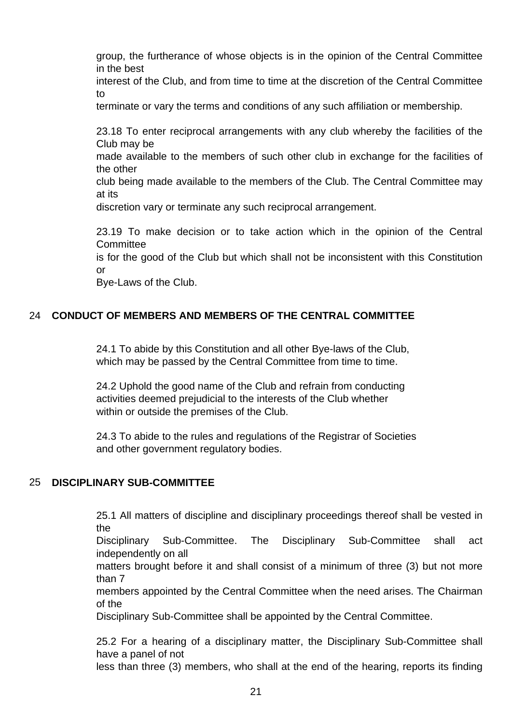group, the furtherance of whose objects is in the opinion of the Central Committee in the best

interest of the Club, and from time to time at the discretion of the Central Committee to

terminate or vary the terms and conditions of any such affiliation or membership.

23.18 To enter reciprocal arrangements with any club whereby the facilities of the Club may be

made available to the members of such other club in exchange for the facilities of the other

club being made available to the members of the Club. The Central Committee may at its

discretion vary or terminate any such reciprocal arrangement.

23.19 To make decision or to take action which in the opinion of the Central **Committee** 

is for the good of the Club but which shall not be inconsistent with this Constitution or

Bye-Laws of the Club.

# 24 **CONDUCT OF MEMBERS AND MEMBERS OF THE CENTRAL COMMITTEE**

24.1 To abide by this Constitution and all other Bye-laws of the Club, which may be passed by the Central Committee from time to time.

24.2 Uphold the good name of the Club and refrain from conducting activities deemed prejudicial to the interests of the Club whether within or outside the premises of the Club.

24.3 To abide to the rules and regulations of the Registrar of Societies and other government regulatory bodies.

# 25 **DISCIPLINARY SUB-COMMITTEE**

25.1 All matters of discipline and disciplinary proceedings thereof shall be vested in the

Disciplinary Sub-Committee. The Disciplinary Sub-Committee shall act independently on all

matters brought before it and shall consist of a minimum of three (3) but not more than 7

members appointed by the Central Committee when the need arises. The Chairman of the

Disciplinary Sub-Committee shall be appointed by the Central Committee.

25.2 For a hearing of a disciplinary matter, the Disciplinary Sub-Committee shall have a panel of not

less than three (3) members, who shall at the end of the hearing, reports its finding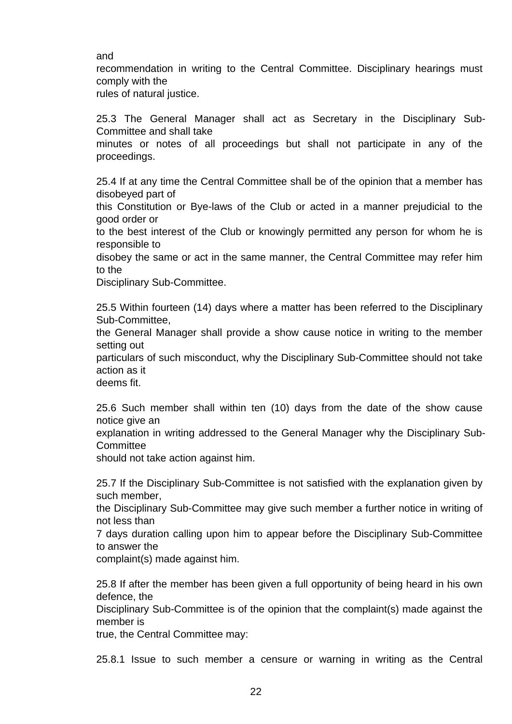and

recommendation in writing to the Central Committee. Disciplinary hearings must comply with the

rules of natural justice.

25.3 The General Manager shall act as Secretary in the Disciplinary Sub-Committee and shall take

minutes or notes of all proceedings but shall not participate in any of the proceedings.

25.4 If at any time the Central Committee shall be of the opinion that a member has disobeyed part of

this Constitution or Bye-laws of the Club or acted in a manner prejudicial to the good order or

to the best interest of the Club or knowingly permitted any person for whom he is responsible to

disobey the same or act in the same manner, the Central Committee may refer him to the

Disciplinary Sub-Committee.

25.5 Within fourteen (14) days where a matter has been referred to the Disciplinary Sub-Committee,

the General Manager shall provide a show cause notice in writing to the member setting out

particulars of such misconduct, why the Disciplinary Sub-Committee should not take action as it

deems fit.

25.6 Such member shall within ten (10) days from the date of the show cause notice give an

explanation in writing addressed to the General Manager why the Disciplinary Sub-**Committee** 

should not take action against him.

25.7 If the Disciplinary Sub-Committee is not satisfied with the explanation given by such member,

the Disciplinary Sub-Committee may give such member a further notice in writing of not less than

7 days duration calling upon him to appear before the Disciplinary Sub-Committee to answer the

complaint(s) made against him.

25.8 If after the member has been given a full opportunity of being heard in his own defence, the

Disciplinary Sub-Committee is of the opinion that the complaint(s) made against the member is

true, the Central Committee may:

25.8.1 Issue to such member a censure or warning in writing as the Central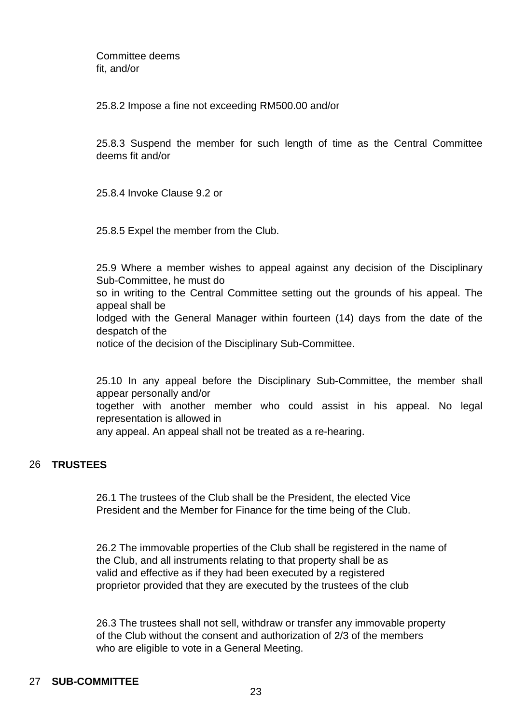Committee deems fit, and/or

25.8.2 Impose a fine not exceeding RM500.00 and/or

25.8.3 Suspend the member for such length of time as the Central Committee deems fit and/or

25.8.4 Invoke Clause 9.2 or

25.8.5 Expel the member from the Club.

25.9 Where a member wishes to appeal against any decision of the Disciplinary Sub-Committee, he must do so in writing to the Central Committee setting out the grounds of his appeal. The appeal shall be lodged with the General Manager within fourteen (14) days from the date of the despatch of the notice of the decision of the Disciplinary Sub-Committee.

25.10 In any appeal before the Disciplinary Sub-Committee, the member shall appear personally and/or together with another member who could assist in his appeal. No legal representation is allowed in any appeal. An appeal shall not be treated as a re-hearing.

#### 26 **TRUSTEES**

26.1 The trustees of the Club shall be the President, the elected Vice President and the Member for Finance for the time being of the Club.

26.2 The immovable properties of the Club shall be registered in the name of the Club, and all instruments relating to that property shall be as valid and effective as if they had been executed by a registered proprietor provided that they are executed by the trustees of the club

26.3 The trustees shall not sell, withdraw or transfer any immovable property of the Club without the consent and authorization of 2/3 of the members who are eligible to vote in a General Meeting.

#### 27 **SUB-COMMITTEE**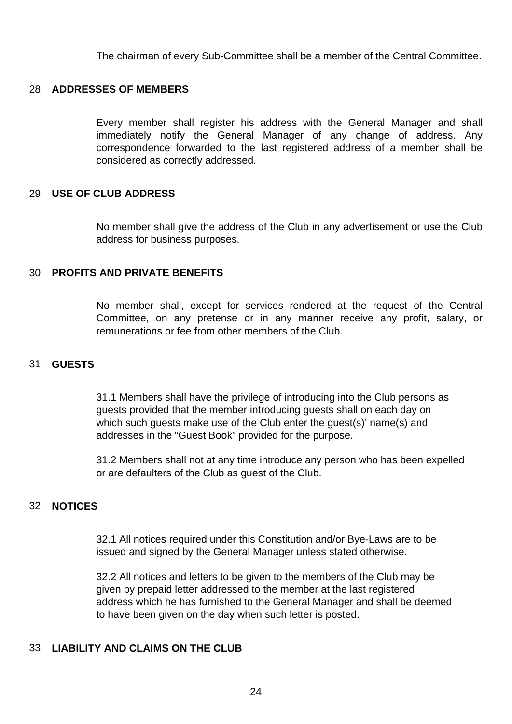The chairman of every Sub-Committee shall be a member of the Central Committee.

#### 28 **ADDRESSES OF MEMBERS**

Every member shall register his address with the General Manager and shall immediately notify the General Manager of any change of address. Any correspondence forwarded to the last registered address of a member shall be considered as correctly addressed.

#### 29 **USE OF CLUB ADDRESS**

No member shall give the address of the Club in any advertisement or use the Club address for business purposes.

#### 30 **PROFITS AND PRIVATE BENEFITS**

No member shall, except for services rendered at the request of the Central Committee, on any pretense or in any manner receive any profit, salary, or remunerations or fee from other members of the Club.

#### 31 **GUESTS**

31.1 Members shall have the privilege of introducing into the Club persons as guests provided that the member introducing guests shall on each day on which such guests make use of the Club enter the guest(s)' name(s) and addresses in the "Guest Book" provided for the purpose.

31.2 Members shall not at any time introduce any person who has been expelled or are defaulters of the Club as guest of the Club.

#### 32 **NOTICES**

32.1 All notices required under this Constitution and/or Bye-Laws are to be issued and signed by the General Manager unless stated otherwise.

32.2 All notices and letters to be given to the members of the Club may be given by prepaid letter addressed to the member at the last registered address which he has furnished to the General Manager and shall be deemed to have been given on the day when such letter is posted.

#### 33 **LIABILITY AND CLAIMS ON THE CLUB**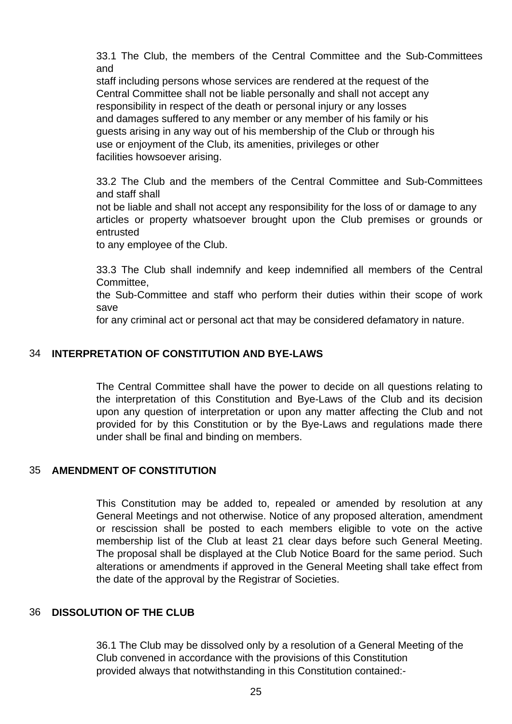33.1 The Club, the members of the Central Committee and the Sub-Committees and

staff including persons whose services are rendered at the request of the Central Committee shall not be liable personally and shall not accept any responsibility in respect of the death or personal injury or any losses and damages suffered to any member or any member of his family or his guests arising in any way out of his membership of the Club or through his use or enjoyment of the Club, its amenities, privileges or other facilities howsoever arising.

33.2 The Club and the members of the Central Committee and Sub-Committees and staff shall

not be liable and shall not accept any responsibility for the loss of or damage to any articles or property whatsoever brought upon the Club premises or grounds or entrusted

to any employee of the Club.

33.3 The Club shall indemnify and keep indemnified all members of the Central Committee,

the Sub-Committee and staff who perform their duties within their scope of work save

for any criminal act or personal act that may be considered defamatory in nature.

# 34 **INTERPRETATION OF CONSTITUTION AND BYE-LAWS**

The Central Committee shall have the power to decide on all questions relating to the interpretation of this Constitution and Bye-Laws of the Club and its decision upon any question of interpretation or upon any matter affecting the Club and not provided for by this Constitution or by the Bye-Laws and regulations made there under shall be final and binding on members.

#### 35 **AMENDMENT OF CONSTITUTION**

This Constitution may be added to, repealed or amended by resolution at any General Meetings and not otherwise. Notice of any proposed alteration, amendment or rescission shall be posted to each members eligible to vote on the active membership list of the Club at least 21 clear days before such General Meeting. The proposal shall be displayed at the Club Notice Board for the same period. Such alterations or amendments if approved in the General Meeting shall take effect from the date of the approval by the Registrar of Societies.

#### 36 **DISSOLUTION OF THE CLUB**

36.1 The Club may be dissolved only by a resolution of a General Meeting of the Club convened in accordance with the provisions of this Constitution provided always that notwithstanding in this Constitution contained:-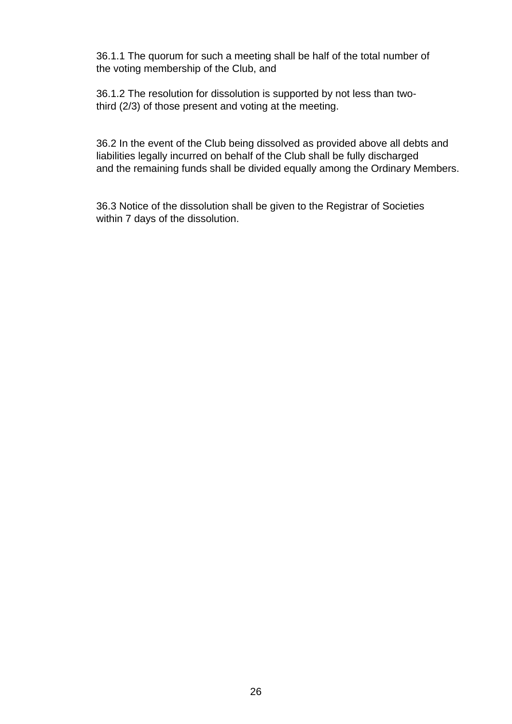36.1.1 The quorum for such a meeting shall be half of the total number of the voting membership of the Club, and

36.1.2 The resolution for dissolution is supported by not less than twothird (2/3) of those present and voting at the meeting.

36.2 In the event of the Club being dissolved as provided above all debts and liabilities legally incurred on behalf of the Club shall be fully discharged and the remaining funds shall be divided equally among the Ordinary Members.

36.3 Notice of the dissolution shall be given to the Registrar of Societies within 7 days of the dissolution.